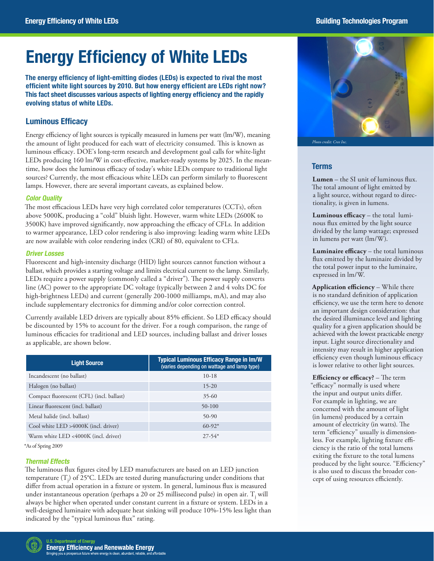# Energy Efficiency of White LEDs

The energy efficiency of light-emitting diodes (LEDs) is expected to rival the most efficient white light sources by 2010. But how energy efficient are LEDs right now? This fact sheet discusses various aspects of lighting energy efficiency and the rapidly evolving status of white LEDs.

# Luminous Efficacy

Energy efficiency of light sources is typically measured in lumens per watt (lm/W), meaning the amount of light produced for each watt of electricity consumed. This is known as luminous efficacy. DOE's long-term research and development goal calls for white-light LEDs producing 160 lm/W in cost-effective, market-ready systems by 2025. In the meantime, how does the luminous efficacy of today's white LEDs compare to traditional light sources? Currently, the most efficacious white LEDs can perform similarly to fluorescent lamps. However, there are several important caveats, as explained below.

#### **Color Quality**

The most efficacious LEDs have very high correlated color temperatures (CCTs), often above 5000K, producing a "cold" bluish light. However, warm white LEDs (2600K to 3500K) have improved significantly, now approaching the efficacy of CFLs. In addition to warmer appearance, LED color rendering is also improving: leading warm white LEDs are now available with color rendering index (CRI) of 80, equivalent to CFLs.

#### **Driver Losses**

Fluorescent and high-intensity discharge (HID) light sources cannot function without a ballast, which provides a starting voltage and limits electrical current to the lamp. Similarly, LEDs require a power supply (commonly called a "driver"). The power supply converts line (AC) power to the appropriate DC voltage (typically between 2 and 4 volts DC for high-brightness LEDs) and current (generally 200-1000 milliamps, mA), and may also include supplementary electronics for dimming and/or color correction control.

Currently available LED drivers are typically about 85% efficient. So LED efficacy should be discounted by 15% to account for the driver. For a rough comparison, the range of luminous efficacies for traditional and LED sources, including ballast and driver losses as applicable, are shown below.

| <b>Light Source</b>                       | <b>Typical Luminous Efficacy Range in Im/W</b><br>(varies depending on wattage and lamp type) |
|-------------------------------------------|-----------------------------------------------------------------------------------------------|
| Incandescent (no ballast)                 | $10-18$                                                                                       |
| Halogen (no ballast)                      | $15 - 20$                                                                                     |
| Compact fluorescent (CFL) (incl. ballast) | $35-60$                                                                                       |
| Linear fluorescent (incl. ballast)        | 50-100                                                                                        |
| Metal halide (incl. ballast)              | 50-90                                                                                         |
| Cool white LED >4000K (incl. driver)      | $60-92*$                                                                                      |
| Warm white LED <4000K (incl. driver)      | $27-54*$                                                                                      |
|                                           |                                                                                               |

\*As of Spring 2009

#### Thermal Effects

The luminous flux figures cited by LED manufacturers are based on an LED junction temperature (T<sub>j</sub>) of 25°C. LEDs are tested during manufacturing under conditions that differ from actual operation in a fixture or system. In general, luminous flux is measured under instantaneous operation (perhaps a 20 or 25 millisecond pulse) in open air.  $\mathrm{T_j}$  will always be higher when operated under constant current in a fixture or system. LEDs in a well-designed luminaire with adequate heat sinking will produce 10%-15% less light than indicated by the "typical luminous flux" rating.



## **Terms**

**Lumen** – the SI unit of luminous flux. The total amount of light emitted by a light source, without regard to directionality, is given in lumens.

**Luminous efficacy** – the total luminous flux emitted by the light source divided by the lamp wattage; expressed in lumens per watt (lm/W).

**Luminaire efficacy** – the total luminous flux emitted by the luminaire divided by the total power input to the luminaire, expressed in lm/W.

**Application efficiency** – While there is no standard definition of application efficiency, we use the term here to denote an important design consideration: that the desired illuminance level and lighting quality for a given application should be achieved with the lowest practicable energy input. Light source directionality and intensity may result in higher application efficiency even though luminous efficacy is lower relative to other light sources.

**Efficiency or efficacy?** – The term "efficacy" normally is used where the input and output units differ. For example in lighting, we are concerned with the amount of light (in lumens) produced by a certain amount of electricity (in watts). The term "efficiency" usually is dimensionless. For example, lighting fixture efficiency is the ratio of the total lumens exiting the fixture to the total lumens produced by the light source. "Efficiency" is also used to discuss the broader concept of using resources efficiently.